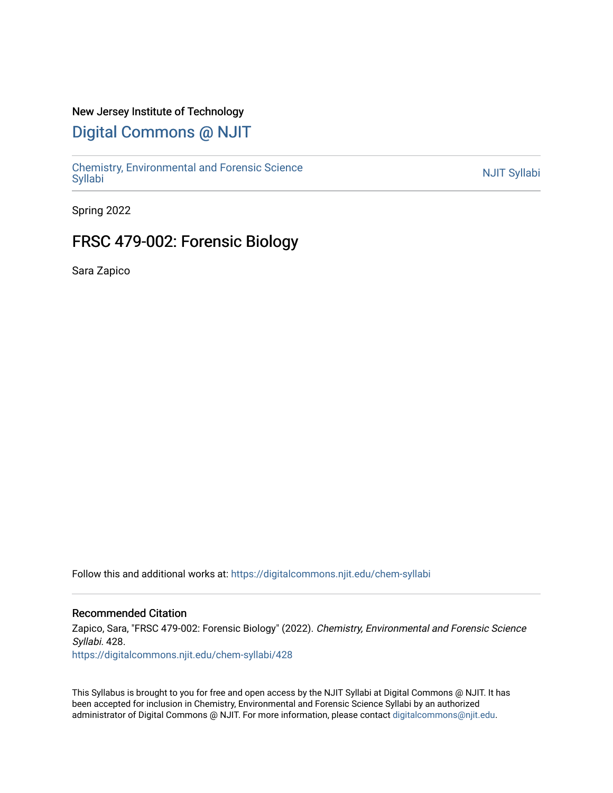### New Jersey Institute of Technology

## [Digital Commons @ NJIT](https://digitalcommons.njit.edu/)

Chemistry, Environmental and Forensic Science<br>Syllabi

Spring 2022

## FRSC 479-002: Forensic Biology

Sara Zapico

Follow this and additional works at: [https://digitalcommons.njit.edu/chem-syllabi](https://digitalcommons.njit.edu/chem-syllabi?utm_source=digitalcommons.njit.edu%2Fchem-syllabi%2F428&utm_medium=PDF&utm_campaign=PDFCoverPages) 

#### Recommended Citation

Zapico, Sara, "FRSC 479-002: Forensic Biology" (2022). Chemistry, Environmental and Forensic Science Syllabi. 428.

[https://digitalcommons.njit.edu/chem-syllabi/428](https://digitalcommons.njit.edu/chem-syllabi/428?utm_source=digitalcommons.njit.edu%2Fchem-syllabi%2F428&utm_medium=PDF&utm_campaign=PDFCoverPages) 

This Syllabus is brought to you for free and open access by the NJIT Syllabi at Digital Commons @ NJIT. It has been accepted for inclusion in Chemistry, Environmental and Forensic Science Syllabi by an authorized administrator of Digital Commons @ NJIT. For more information, please contact [digitalcommons@njit.edu.](mailto:digitalcommons@njit.edu)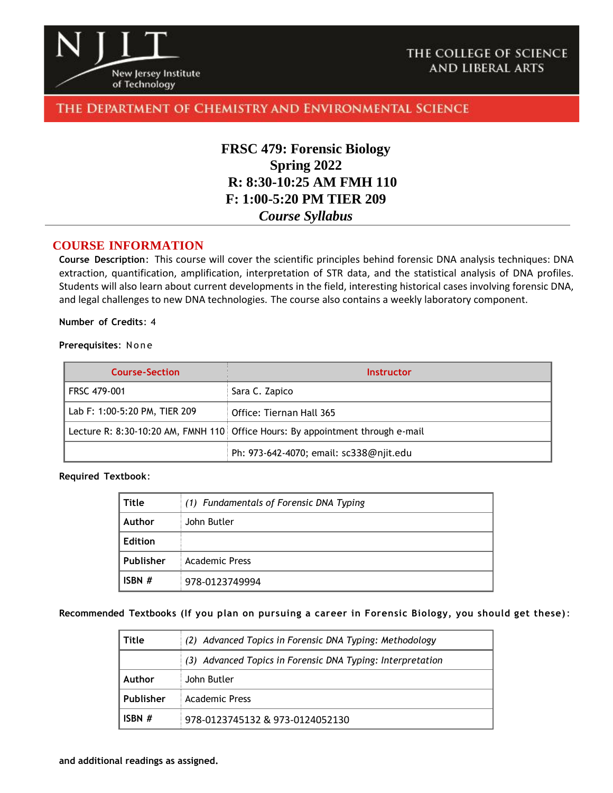

### THE COLLEGE OF SCIENCE **AND LIBERAL ARTS**

### THE DEPARTMENT OF CHEMISTRY AND ENVIRONMENTAL SCIENCE

## **FRSC 479: Forensic Biology Spring 2022 R: 8:30-10:25 AM FMH 110 F: 1:00-5:20 PM TIER 209** *Course Syllabus*

#### **COURSE INFORMATION**

**Course Description**: This course will cover the scientific principles behind forensic DNA analysis techniques: DNA extraction, quantification, amplification, interpretation of STR data, and the statistical analysis of DNA profiles. Students will also learn about current developments in the field, interesting historical cases involving forensic DNA, and legal challenges to new DNA technologies. The course also contains a weekly laboratory component.

#### **Number of Credits**: 4

#### **Prerequisites: None**

| <b>Course-Section</b>         | Instructor                                                                     |
|-------------------------------|--------------------------------------------------------------------------------|
| FRSC 479-001                  | Sara C. Zapico                                                                 |
| Lab F: 1:00-5:20 PM, TIER 209 | Office: Tiernan Hall 365                                                       |
|                               | Lecture R: 8:30-10:20 AM, FMNH 110 Office Hours: By appointment through e-mail |
|                               | Ph: 973-642-4070; email: sc338@njit.edu                                        |

#### **Required Textbook**:

| Title          | (1) Fundamentals of Forensic DNA Typing |
|----------------|-----------------------------------------|
| Author         | John Butler                             |
| <b>Edition</b> |                                         |
| Publisher      | <b>Academic Press</b>                   |
| ISBN $#$       | 978-0123749994                          |

#### **Recommended Textbooks (If you plan on pursuing a career in Forensic Biology, you should get these)**:

| Title     | (2) Advanced Topics in Forensic DNA Typing: Methodology    |  |
|-----------|------------------------------------------------------------|--|
|           | (3) Advanced Topics in Forensic DNA Typing: Interpretation |  |
| Author    | John Butler                                                |  |
| Publisher | <b>Academic Press</b>                                      |  |
| ISBN $#$  | 978-0123745132 & 973-0124052130                            |  |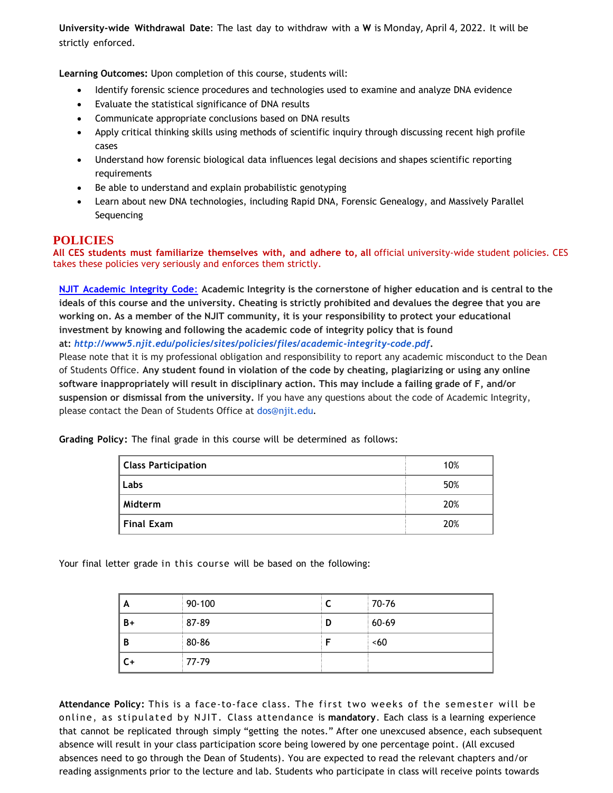**University-wide Withdrawal Date**: The last day to withdraw with a **W** is Monday, April 4, 2022. It will be strictly enforced.

**Learning Outcomes:** Upon completion of this course, students will:

- Identify forensic science procedures and technologies used to examine and analyze DNA evidence
- Evaluate the statistical significance of DNA results
- Communicate appropriate conclusions based on DNA results
- Apply critical thinking skills using methods of scientific inquiry through discussing recent high profile cases
- Understand how forensic biological data influences legal decisions and shapes scientific reporting requirements
- Be able to understand and explain probabilistic genotyping
- Learn about new DNA technologies, including Rapid DNA, Forensic Genealogy, and Massively Parallel Sequencing

#### **POLICIES**

**All CES students must familiarize themselves with, and adhere to, all** official university-wide student policies. CES takes these policies very seriously and enforces them strictly.

**NJIT [Academic](about:blank) Integrity Code**: **Academic Integrity is the cornerstone of higher education and is central to the ideals of this course and the university. Cheating is strictly prohibited and devalues the degree that you are working on. As a member of the NJIT community, it is your responsibility to protect your educational investment by knowing and following the academic code of integrity policy that is found at:** *<http://www5.njit.edu/policies/sites/policies/files/academic-integrity-code.pdf>***.** 

Please note that it is my professional obligation and responsibility to report any academic misconduct to the Dean of Students Office. **Any student found in violation of the code by cheating, plagiarizing or using any online software inappropriately will result in disciplinary action. This may include a failing grade of F, and/or suspension or dismissal from the university.** If you have any questions about the code of Academic Integrity, please contact the Dean of Students Office at [dos@njit.edu](mailto:dos@njit.edu)*.*

**Grading Policy:** The final grade in this course will be determined as follows:

| <b>Class Participation</b> | 10% |
|----------------------------|-----|
| Labs                       | 50% |
| Midterm                    | 20% |
| <b>Final Exam</b>          | 20% |

Your final letter grade in this course will be based on the following:

| A    | $90-100$ |   | 70-76   |
|------|----------|---|---------|
| $B+$ | 87-89    | D | $60-69$ |
| B    | 80-86    |   | <60     |
| C+   | 77-79    |   |         |

**Attendance Policy:** This is a face-to-face class. The first two weeks of the semester will be online, as stipulated by NJIT. Class attendance is **mandatory**. Each class is a learning experience that cannot be replicated through simply "getting the notes." After one unexcused absence, each subsequent absence will result in your class participation score being lowered by one percentage point. (All excused absences need to go through the Dean of Students). You are expected to read the relevant chapters and/or reading assignments prior to the lecture and lab. Students who participate in class will receive points towards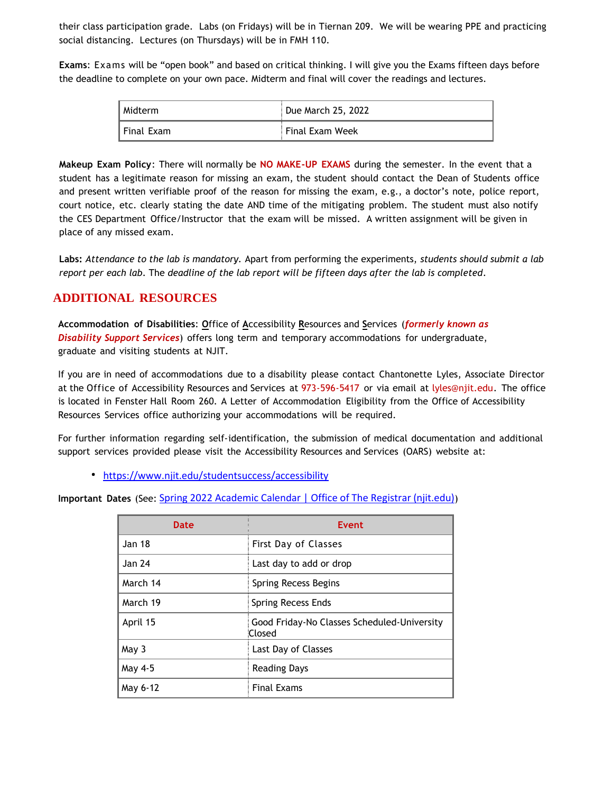their class participation grade. Labs (on Fridays) will be in Tiernan 209. We will be wearing PPE and practicing social distancing. Lectures (on Thursdays) will be in FMH 110.

**Exams**: Exams will be "open book" and based on critical thinking. I will give you the Exams fifteen days before the deadline to complete on your own pace. Midterm and final will cover the readings and lectures.

| Midterm      | Due March 25, 2022 |
|--------------|--------------------|
| I Final Exam | Final Exam Week    |

**Makeup Exam Policy**: There will normally be **NO MAKE-UP EXAMS** during the semester. In the event that a student has a legitimate reason for missing an exam, the student should contact the Dean of Students office and present written verifiable proof of the reason for missing the exam, e.g., a doctor's note, police report, court notice, etc. clearly stating the date AND time of the mitigating problem. The student must also notify the CES Department Office/Instructor that the exam will be missed. A written assignment will be given in place of any missed exam.

**Labs:** *Attendance to the lab is mandatory.* Apart from performing the experiments, *students should submit a lab report per each lab*. The *deadline of the lab report will be fifteen days after the lab is completed*.

## **ADDITIONAL RESOURCES**

**Accommodation of Disabilities**: **O**ffice of **A**ccessibility **R**esources and **S**ervices (*formerly known as Disability Support Services*) offers long term and temporary accommodations for undergraduate, graduate and visiting students at NJIT.

If you are in need of accommodations due to a disability please contact Chantonette Lyles, Associate Director at the Office of Accessibility Resources and Services at 973-596-5417 or via email at [lyles@njit.edu.](about:blank) The office is located in Fenster Hall Room 260. A Letter of Accommodation Eligibility from the Office of Accessibility Resources Services office authorizing your accommodations will be required.

For further information regarding self-identification, the submission of medical documentation and additional support services provided please visit the Accessibility Resources and Services (OARS) website at:

<https://www.njit.edu/studentsuccess/accessibility>

**Important Dates** (See: [Spring 2022 Academic Calendar | Office of The Registrar \(njit.edu\)](https://www5.njit.edu/registrar/spring-2022-academic-calendar/))

| <b>Date</b>   | <b>Event</b>                                          |
|---------------|-------------------------------------------------------|
| <b>Jan 18</b> | First Day of Classes                                  |
| <b>Jan 24</b> | Last day to add or drop                               |
| March 14      | Spring Recess Begins                                  |
| March 19      | Spring Recess Ends                                    |
| April 15      | Good Friday-No Classes Scheduled-University<br>Closed |
| May 3         | Last Day of Classes                                   |
| May 4-5       | <b>Reading Days</b>                                   |
| May 6-12      | <b>Final Exams</b>                                    |